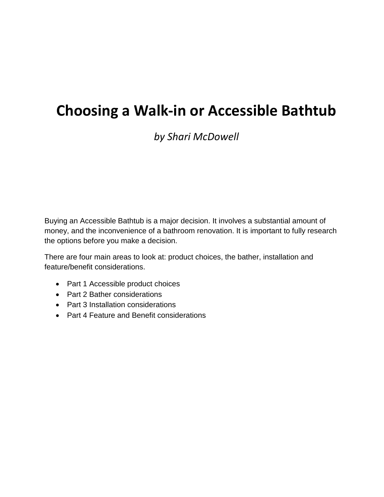# **Choosing a Walk-in or Accessible Bathtub**

# *by Shari McDowell*

Buying an Accessible Bathtub is a major decision. It involves a substantial amount of money, and the inconvenience of a bathroom renovation. It is important to fully research the options before you make a decision.

There are four main areas to look at: product choices, the bather, installation and feature/benefit considerations.

- Part 1 Accessible product choices
- Part 2 Bather considerations
- Part 3 Installation considerations
- Part 4 Feature and Benefit considerations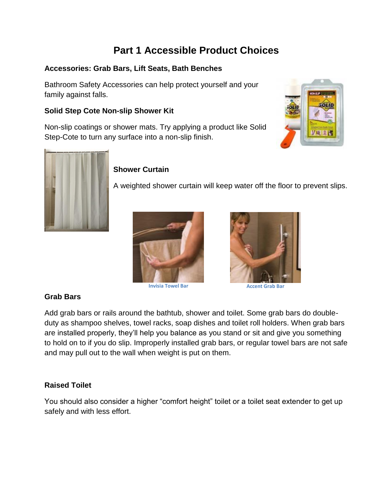# **Part 1 Accessible Product Choices**

#### **Accessories: Grab Bars, Lift Seats, Bath Benches**

Bathroom Safety Accessories can help protect yourself and your family against falls.

#### **Solid Step Cote Non-slip Shower Kit**

Non-slip coatings or shower mats. Try applying a product like Solid Step-Cote to turn any surface into a non-slip finish.





### **Shower Curtain**

A weighted shower curtain will keep water off the floor to prevent slips.







**Invisia Towel Bar Accent Grab** Bar

#### **Grab Bars**

Add grab bars or rails around the bathtub, shower and toilet. Some grab bars do doubleduty as shampoo shelves, towel racks, soap dishes and toilet roll holders. When grab bars are installed properly, they'll help you balance as you stand or sit and give you something to hold on to if you do slip. Improperly installed grab bars, or regular towel bars are not safe and may pull out to the wall when weight is put on them.

#### **Raised Toilet**

You should also consider a higher "comfort height" toilet or a toilet seat extender to get up safely and with less effort.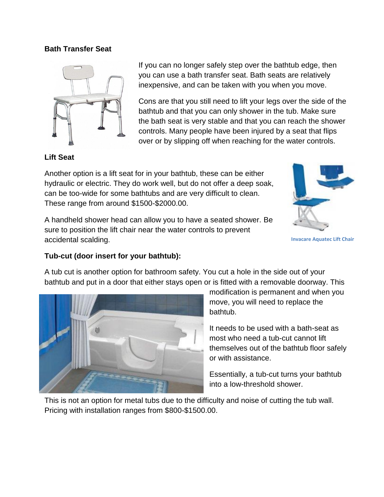#### **Bath Transfer Seat**



If you can no longer safely step over the bathtub edge, then you can use a bath transfer seat. Bath seats are relatively inexpensive, and can be taken with you when you move.

Cons are that you still need to lift your legs over the side of the bathtub and that you can only shower in the tub. Make sure the bath seat is very stable and that you can reach the shower controls. Many people have been injured by a seat that flips over or by slipping off when reaching for the water controls.

#### **Lift Seat**

Another option is a lift seat for in your bathtub, these can be either hydraulic or electric. They do work well, but do not offer a deep soak, can be too-wide for some bathtubs and are very difficult to clean. These range from around \$1500-\$2000.00.

A handheld shower head can allow you to have a seated shower. Be sure to position the lift chair near the water controls to prevent accidental scalding.



```
Invacare Aquatec Lift Chair
```
#### **Tub-cut (door insert for your bathtub):**

A tub cut is another option for bathroom safety. You cut a hole in the side out of your bathtub and put in a door that either stays open or is fitted with a removable doorway. This



modification is permanent and when you move, you will need to replace the bathtub.

It needs to be used with a bath-seat as most who need a tub-cut cannot lift themselves out of the bathtub floor safely or with assistance.

Essentially, a tub-cut turns your bathtub into a low-threshold shower.

This is not an option for metal tubs due to the difficulty and noise of cutting the tub wall. Pricing with installation ranges from \$800-\$1500.00.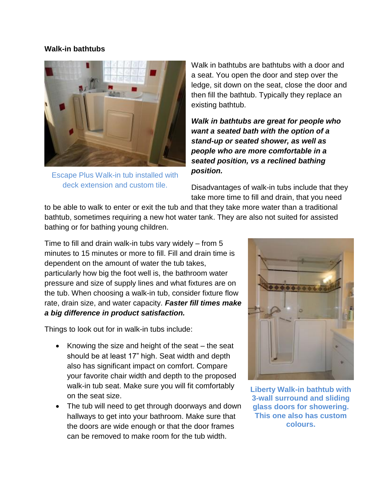#### **Walk-in bathtubs**



Escape Plus Walk-in tub installed with deck extension and custom tile.

Walk in bathtubs are bathtubs with a door and a seat. You open the door and step over the ledge, sit down on the seat, close the door and then fill the bathtub. Typically they replace an existing bathtub.

*Walk in bathtubs are great for people who want a seated bath with the option of a stand-up or seated shower, as well as people who are more comfortable in a seated position, vs a reclined bathing position.*

Disadvantages of walk-in tubs include that they take more time to fill and drain, that you need

to be able to walk to enter or exit the tub and that they take more water than a traditional bathtub, sometimes requiring a new hot water tank. They are also not suited for assisted bathing or for bathing young children.

Time to fill and drain walk-in tubs vary widely – from 5 minutes to 15 minutes or more to fill. Fill and drain time is dependent on the amount of water the tub takes, particularly how big the foot well is, the bathroom water pressure and size of supply lines and what fixtures are on the tub. When choosing a walk-in tub, consider fixture flow rate, drain size, and water capacity. *Faster fill times make a big difference in product satisfaction.*

Things to look out for in walk-in tubs include:

- $\bullet$  Knowing the size and height of the seat the seat should be at least 17" high. Seat width and depth also has significant impact on comfort. Compare your favorite chair width and depth to the proposed walk-in tub seat. Make sure you will fit comfortably on the seat size.
- The tub will need to get through doorways and down hallways to get into your bathroom. Make sure that the doors are wide enough or that the door frames can be removed to make room for the tub width.



**Liberty Walk-in bathtub with 3-wall surround and sliding glass doors for showering. This one also has custom colours.**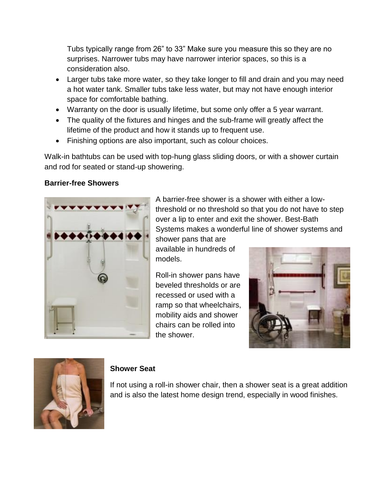Tubs typically range from 26" to 33" Make sure you measure this so they are no surprises. Narrower tubs may have narrower interior spaces, so this is a consideration also.

- Larger tubs take more water, so they take longer to fill and drain and you may need a hot water tank. Smaller tubs take less water, but may not have enough interior space for comfortable bathing.
- Warranty on the door is usually lifetime, but some only offer a 5 year warrant.
- The quality of the fixtures and hinges and the sub-frame will greatly affect the lifetime of the product and how it stands up to frequent use.
- Finishing options are also important, such as colour choices.

Walk-in bathtubs can be used with top-hung glass sliding doors, or with a shower curtain and rod for seated or stand-up showering.

#### **Barrier-free Showers**



A barrier-free shower is a shower with either a lowthreshold or no threshold so that you do not have to step over a lip to enter and exit the shower. Best-Bath Systems makes a wonderful line of shower systems and

shower pans that are available in hundreds of models.

Roll-in shower pans have beveled thresholds or are recessed or used with a ramp so that wheelchairs, mobility aids and shower chairs can be rolled into the shower.





#### **Shower Seat**

If not using a roll-in shower chair, then a shower seat is a great addition and is also the latest home design trend, especially in wood finishes.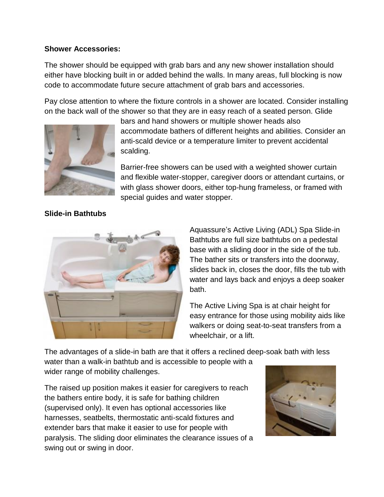#### **Shower Accessories:**

The shower should be equipped with grab bars and any new shower installation should either have blocking built in or added behind the walls. In many areas, full blocking is now code to accommodate future secure attachment of grab bars and accessories.

Pay close attention to where the fixture controls in a shower are located. Consider installing on the back wall of the shower so that they are in easy reach of a seated person. Glide



bars and hand showers or multiple shower heads also accommodate bathers of different heights and abilities. Consider an anti-scald device or a temperature limiter to prevent accidental scalding.

Barrier-free showers can be used with a weighted shower curtain and flexible water-stopper, caregiver doors or attendant curtains, or with glass shower doors, either top-hung frameless, or framed with special guides and water stopper.

### **Slide-in Bathtubs**



Aquassure's Active Living (ADL) Spa Slide-in Bathtubs are full size bathtubs on a pedestal base with a sliding door in the side of the tub. The bather sits or transfers into the doorway, slides back in, closes the door, fills the tub with water and lays back and enjoys a deep soaker bath.

The Active Living Spa is at chair height for easy entrance for those using mobility aids like walkers or doing seat-to-seat transfers from a wheelchair, or a lift.

The advantages of a slide-in bath are that it offers a reclined deep-soak bath with less

water than a walk-in bathtub and is accessible to people with a wider range of mobility challenges.

The raised up position makes it easier for caregivers to reach the bathers entire body, it is safe for bathing children (supervised only). It even has optional accessories like harnesses, seatbelts, thermostatic anti-scald fixtures and extender bars that make it easier to use for people with paralysis. The sliding door eliminates the clearance issues of a swing out or swing in door.

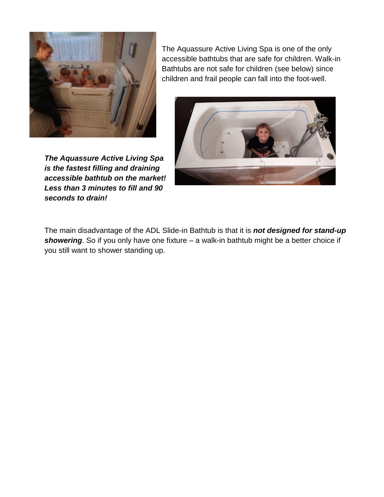

The Aquassure Active Living Spa is one of the only accessible bathtubs that are safe for children. Walk-in Bathtubs are not safe for children (see below) since children and frail people can fall into the foot-well.

*The Aquassure Active Living Spa is the fastest filling and draining accessible bathtub on the market! Less than 3 minutes to fill and 90 seconds to drain!*

The main disadvantage of the ADL Slide-in Bathtub is that it is *not designed for stand-up showering*. So if you only have one fixture – a walk-in bathtub might be a better choice if you still want to shower standing up.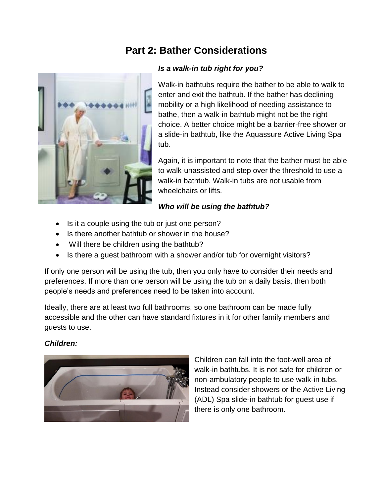# **Part 2: Bather Considerations**



#### *Is a walk-in tub right for you?*

Walk-in bathtubs require the bather to be able to walk to enter and exit the bathtub. If the bather has declining mobility or a high likelihood of needing assistance to bathe, then a walk-in bathtub might not be the right choice. A better choice might be a barrier-free shower or a slide-in bathtub, like the Aquassure Active Living Spa tub.

Again, it is important to note that the bather must be able to walk-unassisted and step over the threshold to use a walk-in bathtub. Walk-in tubs are not usable from wheelchairs or lifts.

#### *Who will be using the bathtub?*

- Is it a couple using the tub or just one person?
- Is there another bathtub or shower in the house?
- Will there be children using the bathtub?
- Is there a guest bathroom with a shower and/or tub for overnight visitors?

If only one person will be using the tub, then you only have to consider their needs and preferences. If more than one person will be using the tub on a daily basis, then both people's needs and preferences need to be taken into account.

Ideally, there are at least two full bathrooms, so one bathroom can be made fully accessible and the other can have standard fixtures in it for other family members and guests to use.

#### *Children:*



Children can fall into the foot-well area of walk-in bathtubs. It is not safe for children or non-ambulatory people to use walk-in tubs. Instead consider showers or the Active Living (ADL) Spa slide-in bathtub for guest use if there is only one bathroom.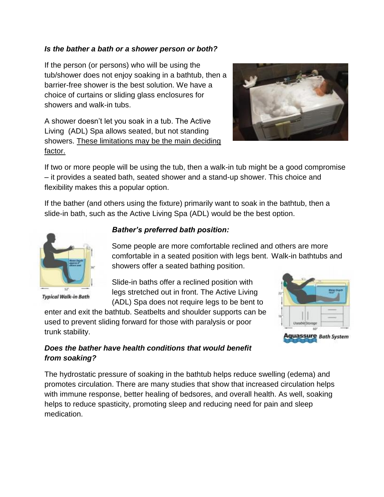#### *Is the bather a bath or a shower person or both?*

If the person (or persons) who will be using the tub/shower does not enjoy soaking in a bathtub, then a barrier-free shower is the best solution. We have a choice of curtains or sliding glass enclosures for showers and walk-in tubs.

A shower doesn't let you soak in a tub. The Active Living (ADL) Spa allows seated, but not standing showers. These limitations may be the main deciding factor.



If two or more people will be using the tub, then a walk-in tub might be a good compromise – it provides a seated bath, seated shower and a stand-up shower. This choice and flexibility makes this a popular option.

If the bather (and others using the fixture) primarily want to soak in the bathtub, then a slide-in bath, such as the Active Living Spa (ADL) would be the best option.



**Typical Walk-in Bath** 

#### *Bather's preferred bath position:*

Some people are more comfortable reclined and others are more comfortable in a seated position with legs bent. Walk-in bathtubs and showers offer a seated bathing position.

Slide-in baths offer a reclined position with legs stretched out in front. The Active Living (ADL) Spa does not require legs to be bent to

enter and exit the bathtub. Seatbelts and shoulder supports can be used to prevent sliding forward for those with paralysis or poor trunk stability.



### *Does the bather have health conditions that would benefit from soaking?*

The hydrostatic pressure of soaking in the bathtub helps reduce swelling (edema) and promotes circulation. There are many studies that show that increased circulation helps with immune response, better healing of bedsores, and overall health. As well, soaking helps to reduce spasticity, promoting sleep and reducing need for pain and sleep medication.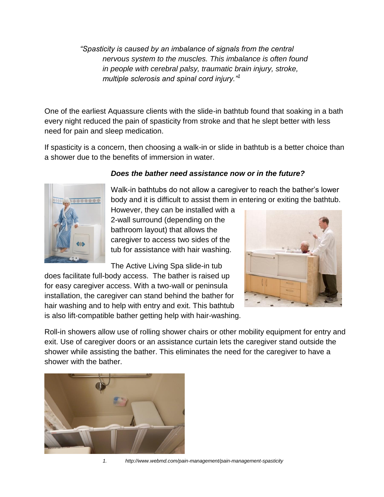*"Spasticity is caused by an imbalance of signals from the central nervous system to the muscles. This imbalance is often found in people with cerebral palsy, traumatic brain injury, stroke, multiple sclerosis and spinal cord injury."<sup>1</sup>*

One of the earliest Aquassure clients with the slide-in bathtub found that soaking in a bath every night reduced the pain of spasticity from stroke and that he slept better with less need for pain and sleep medication.

If spasticity is a concern, then choosing a walk-in or slide in bathtub is a better choice than a shower due to the benefits of immersion in water.



#### *Does the bather need assistance now or in the future?*

Walk-in bathtubs do not allow a caregiver to reach the bather's lower body and it is difficult to assist them in entering or exiting the bathtub.

However, they can be installed with a 2-wall surround (depending on the bathroom layout) that allows the caregiver to access two sides of the tub for assistance with hair washing.

The Active Living Spa slide-in tub

does facilitate full-body access. The bather is raised up for easy caregiver access. With a two-wall or peninsula installation, the caregiver can stand behind the bather for hair washing and to help with entry and exit. This bathtub is also lift-compatible bather getting help with hair-washing.



Roll-in showers allow use of rolling shower chairs or other mobility equipment for entry and exit. Use of caregiver doors or an assistance curtain lets the caregiver stand outside the shower while assisting the bather. This eliminates the need for the caregiver to have a shower with the bather.



*1. http://www.webmd.com/pain-management/pain-management-spasticity*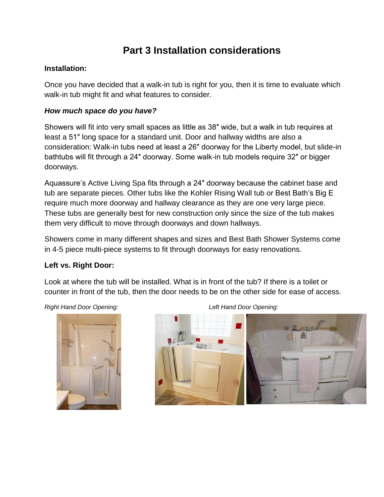# **Part 3 Installation considerations**

#### **Installation:**

Once you have decided that a walk-in tub is right for you, then it is time to evaluate which walk-in tub might fit and what features to consider.

#### *How much space do you have?*

Showers will fit into very small spaces as little as 38″ wide, but a walk in tub requires at least a 51″ long space for a standard unit. Door and hallway widths are also a consideration: Walk-in tubs need at least a 26″ doorway for the Liberty model, but slide-in bathtubs will fit through a 24″ doorway. Some walk-in tub models require 32″ or bigger doorways.

Aquassure's Active Living Spa fits through a 24″ doorway because the cabinet base and tub are separate pieces. Other tubs like the Kohler Rising Wall tub or Best Bath's Big E require much more doorway and hallway clearance as they are one very large piece. These tubs are generally best for new construction only since the size of the tub makes them very difficult to move through doorways and down hallways.

Showers come in many different shapes and sizes and Best Bath Shower Systems come in 4-5 piece multi-piece systems to fit through doorways for easy renovations.

#### **Left vs. Right Door:**

Look at where the tub will be installed. What is in front of the tub? If there is a toilet or counter in front of the tub, then the door needs to be on the other side for ease of access.



*Right Hand Door Opening: Left Hand Door Opening:*

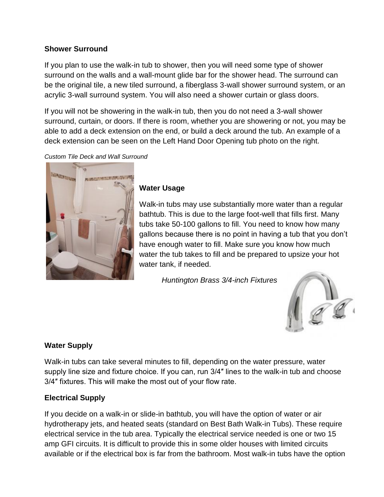#### **Shower Surround**

If you plan to use the walk-in tub to shower, then you will need some type of shower surround on the walls and a wall-mount glide bar for the shower head. The surround can be the original tile, a new tiled surround, a fiberglass 3-wall shower surround system, or an acrylic 3-wall surround system. You will also need a shower curtain or glass doors.

If you will not be showering in the walk-in tub, then you do not need a 3-wall shower surround, curtain, or doors. If there is room, whether you are showering or not, you may be able to add a deck extension on the end, or build a deck around the tub. An example of a deck extension can be seen on the Left Hand Door Opening tub photo on the right.

*Custom Tile Deck and Wall Surround*



#### **Water Usage**

Walk-in tubs may use substantially more water than a regular bathtub. This is due to the large foot-well that fills first. Many tubs take 50-100 gallons to fill. You need to know how many gallons because there is no point in having a tub that you don't have enough water to fill. Make sure you know how much water the tub takes to fill and be prepared to upsize your hot water tank, if needed.

*Huntington Brass 3/4-inch Fixtures*



#### **Water Supply**

Walk-in tubs can take several minutes to fill, depending on the water pressure, water supply line size and fixture choice. If you can, run 3/4″ lines to the walk-in tub and choose 3/4″ fixtures. This will make the most out of your flow rate.

#### **Electrical Supply**

If you decide on a walk-in or slide-in bathtub, you will have the option of water or air hydrotherapy jets, and heated seats (standard on Best Bath Walk-in Tubs). These require electrical service in the tub area. Typically the electrical service needed is one or two 15 amp GFI circuits. It is difficult to provide this in some older houses with limited circuits available or if the electrical box is far from the bathroom. Most walk-in tubs have the option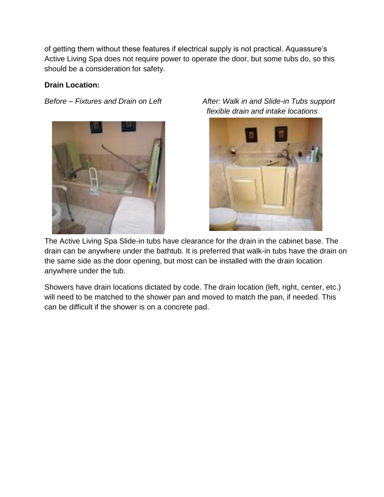of getting them without these features if electrical supply is not practical. Aquassure's Active Living Spa does not require power to operate the door, but some tubs do, so this should be a consideration for safety.

#### **Drain Location:**



*Before – Fixtures and Drain on Left After: Walk in and Slide-in Tubs support flexible drain and intake locations*



The Active Living Spa Slide-in tubs have clearance for the drain in the cabinet base. The drain can be anywhere under the bathtub. It is preferred that walk-in tubs have the drain on the same side as the door opening, but most can be installed with the drain location anywhere under the tub.

Showers have drain locations dictated by code. The drain location (left, right, center, etc.) will need to be matched to the shower pan and moved to match the pan, if needed. This can be difficult if the shower is on a concrete pad.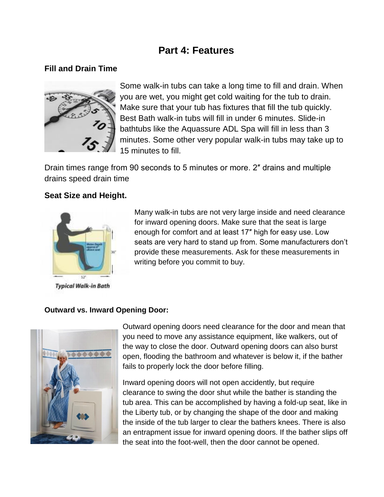# **Part 4: Features**

## **Fill and Drain Time**



Some walk-in tubs can take a long time to fill and drain. When you are wet, you might get cold waiting for the tub to drain. Make sure that your tub has fixtures that fill the tub quickly. Best Bath walk-in tubs will fill in under 6 minutes. Slide-in bathtubs like the Aquassure ADL Spa will fill in less than 3 minutes. Some other very popular walk-in tubs may take up to 15 minutes to fill.

Drain times range from 90 seconds to 5 minutes or more. 2″ drains and multiple drains speed drain time

### **Seat Size and Height.**



**Typical Walk-in Bath** 

Many walk-in tubs are not very large inside and need clearance for inward opening doors. Make sure that the seat is large enough for comfort and at least 17″ high for easy use. Low seats are very hard to stand up from. Some manufacturers don't provide these measurements. Ask for these measurements in writing before you commit to buy.

#### **Outward vs. Inward Opening Door:**



Outward opening doors need clearance for the door and mean that you need to move any assistance equipment, like walkers, out of the way to close the door. Outward opening doors can also burst open, flooding the bathroom and whatever is below it, if the bather fails to properly lock the door before filling.

Inward opening doors will not open accidently, but require clearance to swing the door shut while the bather is standing the tub area. This can be accomplished by having a fold-up seat, like in the Liberty tub, or by changing the shape of the door and making the inside of the tub larger to clear the bathers knees. There is also an entrapment issue for inward opening doors. If the bather slips off the seat into the foot-well, then the door cannot be opened.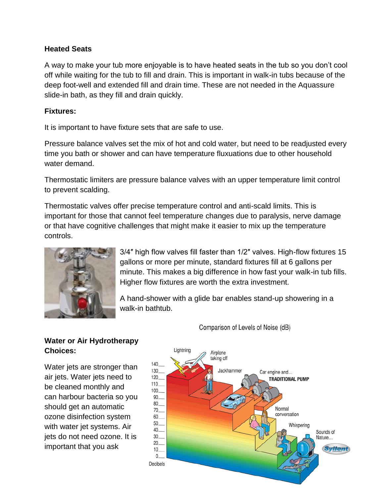#### **Heated Seats**

A way to make your tub more enjoyable is to have heated seats in the tub so you don't cool off while waiting for the tub to fill and drain. This is important in walk-in tubs because of the deep foot-well and extended fill and drain time. These are not needed in the Aquassure slide-in bath, as they fill and drain quickly.

#### **Fixtures:**

It is important to have fixture sets that are safe to use.

Pressure balance valves set the mix of hot and cold water, but need to be readjusted every time you bath or shower and can have temperature fluxuations due to other household water demand.

Thermostatic limiters are pressure balance valves with an upper temperature limit control to prevent scalding.

Thermostatic valves offer precise temperature control and anti-scald limits. This is important for those that cannot feel temperature changes due to paralysis, nerve damage or that have cognitive challenges that might make it easier to mix up the temperature controls.



3/4″ high flow valves fill faster than 1/2″ valves. High-flow fixtures 15 gallons or more per minute, standard fixtures fill at 6 gallons per minute. This makes a big difference in how fast your walk-in tub fills. Higher flow fixtures are worth the extra investment.

A hand-shower with a glide bar enables stand-up showering in a walk-in bathtub.

# **Water or Air Hydrotherapy Choices:**

Water jets are stronger than air jets. Water jets need to be cleaned monthly and can harbour bacteria so you should get an automatic ozone disinfection system with water jet systems. Air jets do not need ozone. It is important that you ask



Comparison of Levels of Noise (dB)